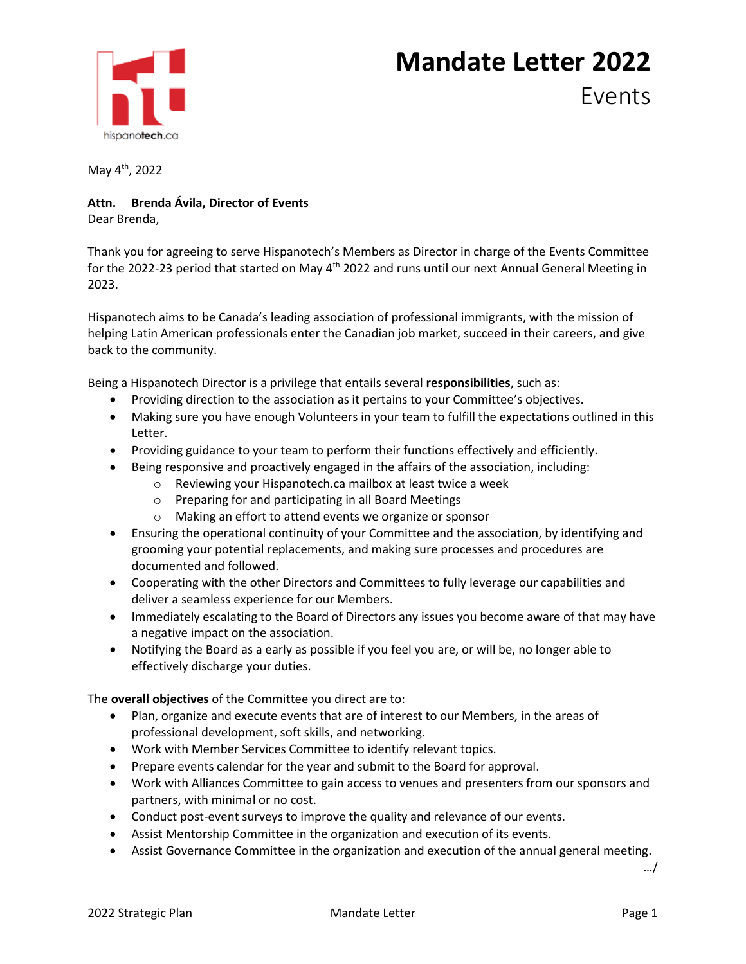## hispanotech.ca

## **Mandate Letter 2022**

Events

May 4th, 2022

## **Attn. Brenda Ávila, Director of Events**

Dear Brenda,

Thank you for agreeing to serve Hispanotech's Members as Director in charge of the Events Committee for the 2022-23 period that started on May 4<sup>th</sup> 2022 and runs until our next Annual General Meeting in 2023.

Hispanotech aims to be Canada's leading association of professional immigrants, with the mission of helping Latin American professionals enter the Canadian job market, succeed in their careers, and give back to the community.

Being a Hispanotech Director is a privilege that entails several **responsibilities**, such as:

- Providing direction to the association as it pertains to your Committee's objectives.
- Making sure you have enough Volunteers in your team to fulfill the expectations outlined in this Letter.
- Providing guidance to your team to perform their functions effectively and efficiently.
- Being responsive and proactively engaged in the affairs of the association, including:
	- o Reviewing your Hispanotech.ca mailbox at least twice a week
	- o Preparing for and participating in all Board Meetings
	- o Making an effort to attend events we organize or sponsor
- Ensuring the operational continuity of your Committee and the association, by identifying and grooming your potential replacements, and making sure processes and procedures are documented and followed.
- Cooperating with the other Directors and Committees to fully leverage our capabilities and deliver a seamless experience for our Members.
- Immediately escalating to the Board of Directors any issues you become aware of that may have a negative impact on the association.
- Notifying the Board as a early as possible if you feel you are, or will be, no longer able to effectively discharge your duties.

The **overall objectives** of the Committee you direct are to:

- Plan, organize and execute events that are of interest to our Members, in the areas of professional development, soft skills, and networking.
- Work with Member Services Committee to identify relevant topics.
- Prepare events calendar for the year and submit to the Board for approval.
- Work with Alliances Committee to gain access to venues and presenters from our sponsors and partners, with minimal or no cost.
- Conduct post-event surveys to improve the quality and relevance of our events.
- Assist Mentorship Committee in the organization and execution of its events.
- Assist Governance Committee in the organization and execution of the annual general meeting.

…/